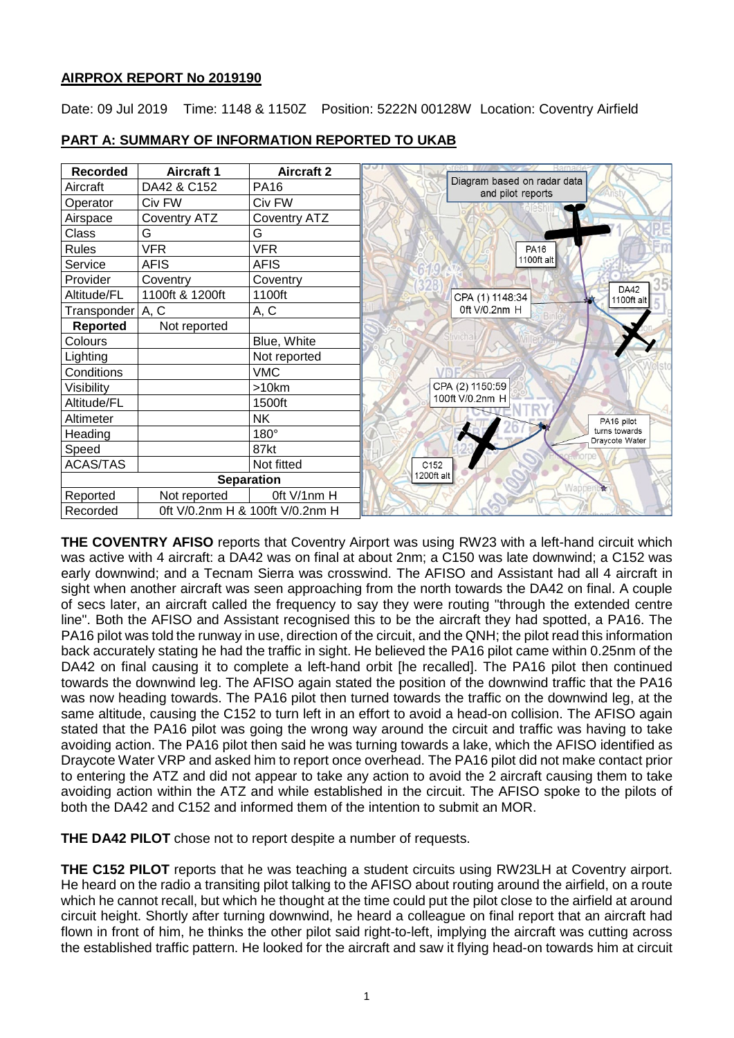# **AIRPROX REPORT No 2019190**

Date: 09 Jul 2019 Time: 1148 & 1150Z Position: 5222N 00128W Location: Coventry Airfield

| <b>Recorded</b>                             | <b>Aircraft 1</b>   | <b>Aircraft 2</b>   |                                                  |
|---------------------------------------------|---------------------|---------------------|--------------------------------------------------|
| Aircraft                                    | DA42 & C152         | <b>PA16</b>         | Diagram based on radar data<br>and pilot reports |
| Operator                                    | Civ FW              | Civ FW              |                                                  |
| Airspace                                    | <b>Coventry ATZ</b> | <b>Coventry ATZ</b> |                                                  |
| Class                                       | G                   | G                   |                                                  |
| <b>Rules</b>                                | <b>VFR</b>          | <b>VFR</b>          | <b>PA16</b>                                      |
| Service                                     | <b>AFIS</b>         | <b>AFIS</b>         | 1100ft alt                                       |
| Provider                                    | Coventry            | Coventry            |                                                  |
| Altitude/FL                                 | 1100ft & 1200ft     | 1100ft              | <b>DA42</b><br>CPA (1) 1148:34<br>1100ft alt     |
| Transponder A, C                            |                     | A, C                | 0ft V/0.2nm H                                    |
| <b>Reported</b>                             | Not reported        |                     |                                                  |
| Colours                                     |                     | Blue, White         |                                                  |
| Lighting                                    |                     | Not reported        |                                                  |
| Conditions                                  |                     | <b>VMC</b>          |                                                  |
| Visibility                                  |                     | >10km               | CPA (2) 1150:59                                  |
| Altitude/FL                                 |                     | 1500ft              | 100ft V/0.2nm H                                  |
| Altimeter                                   |                     | NΚ                  | PA16 pilot                                       |
| Heading                                     |                     | $180^\circ$         | turns towards<br>Draycote Water                  |
| Speed                                       |                     | 87kt                |                                                  |
| <b>ACAS/TAS</b>                             |                     | Not fitted          | C <sub>152</sub>                                 |
| <b>Separation</b>                           |                     |                     | 1200ft alt<br>WappenbA                           |
| Reported                                    | Not reported        | Oft V/1nm H         |                                                  |
| 0ft V/0.2nm H & 100ft V/0.2nm H<br>Recorded |                     |                     |                                                  |

# **PART A: SUMMARY OF INFORMATION REPORTED TO UKAB**

**THE COVENTRY AFISO** reports that Coventry Airport was using RW23 with a left-hand circuit which was active with 4 aircraft: a DA42 was on final at about 2nm; a C150 was late downwind; a C152 was early downwind; and a Tecnam Sierra was crosswind. The AFISO and Assistant had all 4 aircraft in sight when another aircraft was seen approaching from the north towards the DA42 on final. A couple of secs later, an aircraft called the frequency to say they were routing "through the extended centre line". Both the AFISO and Assistant recognised this to be the aircraft they had spotted, a PA16. The PA16 pilot was told the runway in use, direction of the circuit, and the QNH; the pilot read this information back accurately stating he had the traffic in sight. He believed the PA16 pilot came within 0.25nm of the DA42 on final causing it to complete a left-hand orbit [he recalled]. The PA16 pilot then continued towards the downwind leg. The AFISO again stated the position of the downwind traffic that the PA16 was now heading towards. The PA16 pilot then turned towards the traffic on the downwind leg, at the same altitude, causing the C152 to turn left in an effort to avoid a head-on collision. The AFISO again stated that the PA16 pilot was going the wrong way around the circuit and traffic was having to take avoiding action. The PA16 pilot then said he was turning towards a lake, which the AFISO identified as Draycote Water VRP and asked him to report once overhead. The PA16 pilot did not make contact prior to entering the ATZ and did not appear to take any action to avoid the 2 aircraft causing them to take avoiding action within the ATZ and while established in the circuit. The AFISO spoke to the pilots of both the DA42 and C152 and informed them of the intention to submit an MOR.

**THE DA42 PILOT** chose not to report despite a number of requests.

**THE C152 PILOT** reports that he was teaching a student circuits using RW23LH at Coventry airport. He heard on the radio a transiting pilot talking to the AFISO about routing around the airfield, on a route which he cannot recall, but which he thought at the time could put the pilot close to the airfield at around circuit height. Shortly after turning downwind, he heard a colleague on final report that an aircraft had flown in front of him, he thinks the other pilot said right-to-left, implying the aircraft was cutting across the established traffic pattern. He looked for the aircraft and saw it flying head-on towards him at circuit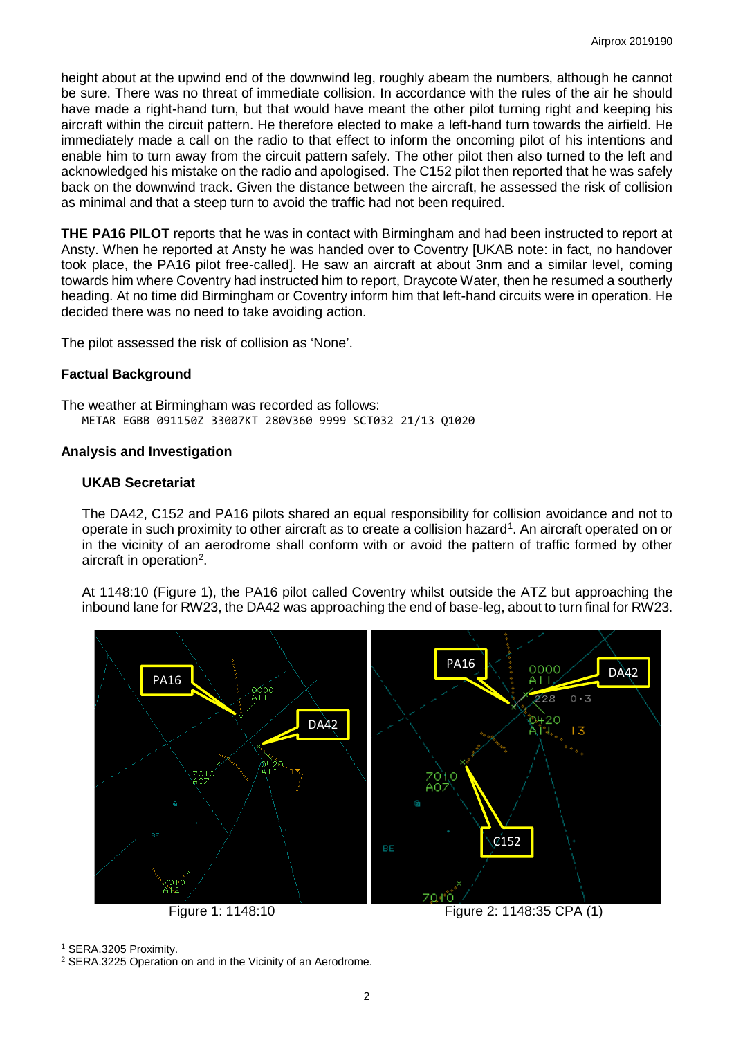height about at the upwind end of the downwind leg, roughly abeam the numbers, although he cannot be sure. There was no threat of immediate collision. In accordance with the rules of the air he should have made a right-hand turn, but that would have meant the other pilot turning right and keeping his aircraft within the circuit pattern. He therefore elected to make a left-hand turn towards the airfield. He immediately made a call on the radio to that effect to inform the oncoming pilot of his intentions and enable him to turn away from the circuit pattern safely. The other pilot then also turned to the left and acknowledged his mistake on the radio and apologised. The C152 pilot then reported that he was safely back on the downwind track. Given the distance between the aircraft, he assessed the risk of collision as minimal and that a steep turn to avoid the traffic had not been required.

**THE PA16 PILOT** reports that he was in contact with Birmingham and had been instructed to report at Ansty. When he reported at Ansty he was handed over to Coventry [UKAB note: in fact, no handover took place, the PA16 pilot free-called]. He saw an aircraft at about 3nm and a similar level, coming towards him where Coventry had instructed him to report, Draycote Water, then he resumed a southerly heading. At no time did Birmingham or Coventry inform him that left-hand circuits were in operation. He decided there was no need to take avoiding action.

The pilot assessed the risk of collision as 'None'.

# **Factual Background**

The weather at Birmingham was recorded as follows: METAR EGBB 091150Z 33007KT 280V360 9999 SCT032 21/13 Q1020

# **Analysis and Investigation**

### **UKAB Secretariat**

The DA42, C152 and PA16 pilots shared an equal responsibility for collision avoidance and not to operate in such proximity to other aircraft as to create a collision hazard<sup>[1](#page-1-0)</sup>. An aircraft operated on or in the vicinity of an aerodrome shall conform with or avoid the pattern of traffic formed by other aircraft in operation<sup>[2](#page-1-1)</sup>.

At 1148:10 (Figure 1), the PA16 pilot called Coventry whilst outside the ATZ but approaching the inbound lane for RW23, the DA42 was approaching the end of base-leg, about to turn final for RW23.



<span id="page-1-0"></span><sup>1</sup> SERA.3205 Proximity.

 $\overline{\phantom{a}}$ 

<span id="page-1-1"></span><sup>2</sup> SERA.3225 Operation on and in the Vicinity of an Aerodrome.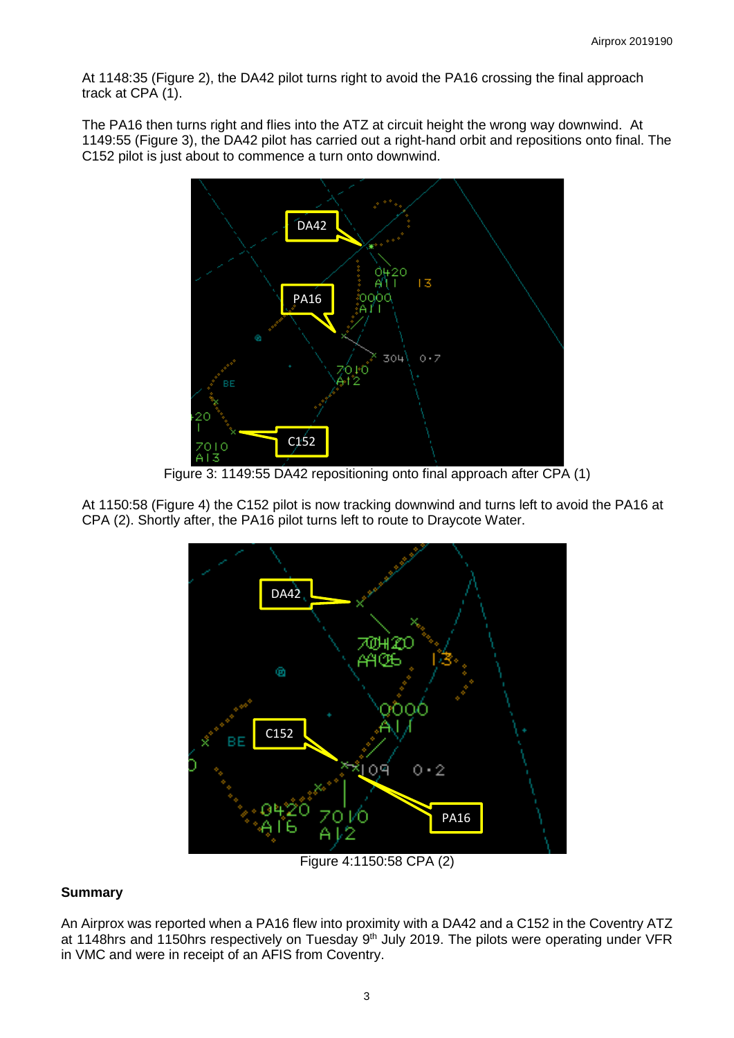At 1148:35 (Figure 2), the DA42 pilot turns right to avoid the PA16 crossing the final approach track at CPA (1).

The PA16 then turns right and flies into the ATZ at circuit height the wrong way downwind. At 1149:55 (Figure 3), the DA42 pilot has carried out a right-hand orbit and repositions onto final. The C152 pilot is just about to commence a turn onto downwind.



Figure 3: 1149:55 DA42 repositioning onto final approach after CPA (1)

At 1150:58 (Figure 4) the C152 pilot is now tracking downwind and turns left to avoid the PA16 at CPA (2). Shortly after, the PA16 pilot turns left to route to Draycote Water.



Figure 4:1150:58 CPA (2)

# **Summary**

An Airprox was reported when a PA16 flew into proximity with a DA42 and a C152 in the Coventry ATZ at 1148hrs and 1150hrs respectively on Tuesday 9<sup>th</sup> July 2019. The pilots were operating under VFR in VMC and were in receipt of an AFIS from Coventry.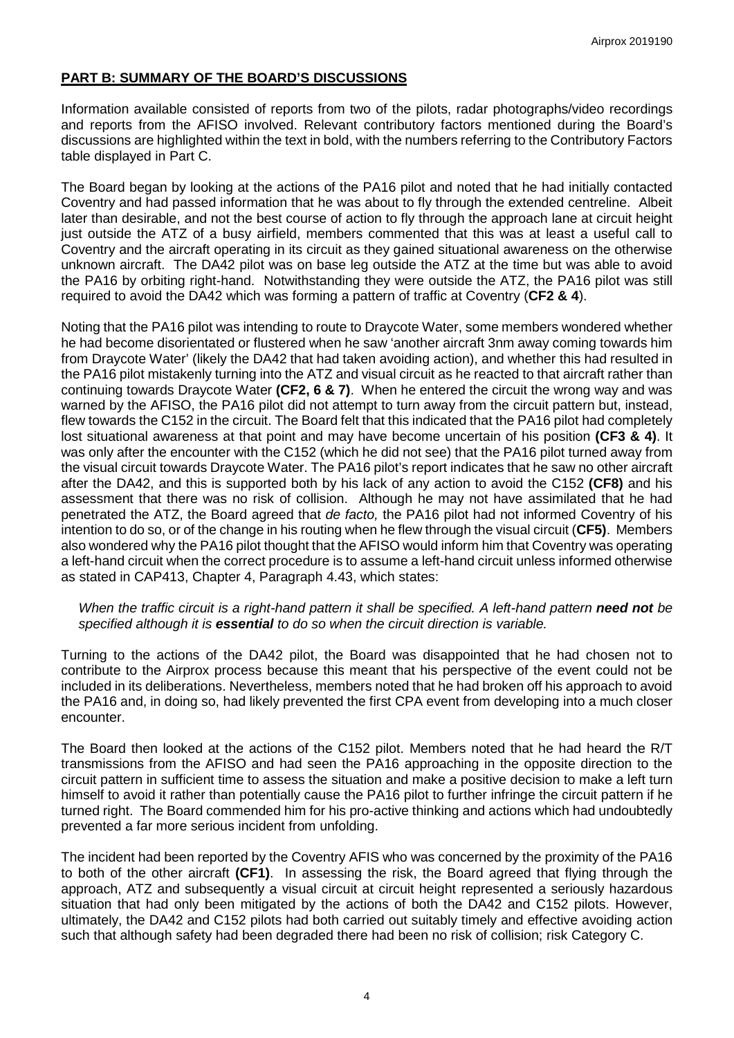# **PART B: SUMMARY OF THE BOARD'S DISCUSSIONS**

Information available consisted of reports from two of the pilots, radar photographs/video recordings and reports from the AFISO involved. Relevant contributory factors mentioned during the Board's discussions are highlighted within the text in bold, with the numbers referring to the Contributory Factors table displayed in Part C.

The Board began by looking at the actions of the PA16 pilot and noted that he had initially contacted Coventry and had passed information that he was about to fly through the extended centreline. Albeit later than desirable, and not the best course of action to fly through the approach lane at circuit height just outside the ATZ of a busy airfield, members commented that this was at least a useful call to Coventry and the aircraft operating in its circuit as they gained situational awareness on the otherwise unknown aircraft. The DA42 pilot was on base leg outside the ATZ at the time but was able to avoid the PA16 by orbiting right-hand. Notwithstanding they were outside the ATZ, the PA16 pilot was still required to avoid the DA42 which was forming a pattern of traffic at Coventry (**CF2 & 4**).

Noting that the PA16 pilot was intending to route to Draycote Water, some members wondered whether he had become disorientated or flustered when he saw 'another aircraft 3nm away coming towards him from Draycote Water' (likely the DA42 that had taken avoiding action), and whether this had resulted in the PA16 pilot mistakenly turning into the ATZ and visual circuit as he reacted to that aircraft rather than continuing towards Draycote Water **(CF2, 6 & 7)**. When he entered the circuit the wrong way and was warned by the AFISO, the PA16 pilot did not attempt to turn away from the circuit pattern but, instead, flew towards the C152 in the circuit. The Board felt that this indicated that the PA16 pilot had completely lost situational awareness at that point and may have become uncertain of his position **(CF3 & 4)**. It was only after the encounter with the C152 (which he did not see) that the PA16 pilot turned away from the visual circuit towards Draycote Water. The PA16 pilot's report indicates that he saw no other aircraft after the DA42, and this is supported both by his lack of any action to avoid the C152 **(CF8)** and his assessment that there was no risk of collision. Although he may not have assimilated that he had penetrated the ATZ, the Board agreed that *de facto,* the PA16 pilot had not informed Coventry of his intention to do so, or of the change in his routing when he flew through the visual circuit (**CF5)**. Members also wondered why the PA16 pilot thought that the AFISO would inform him that Coventry was operating a left-hand circuit when the correct procedure is to assume a left-hand circuit unless informed otherwise as stated in CAP413, Chapter 4, Paragraph 4.43, which states:

### *When the traffic circuit is a right-hand pattern it shall be specified. A left-hand pattern need not be specified although it is essential to do so when the circuit direction is variable.*

Turning to the actions of the DA42 pilot, the Board was disappointed that he had chosen not to contribute to the Airprox process because this meant that his perspective of the event could not be included in its deliberations. Nevertheless, members noted that he had broken off his approach to avoid the PA16 and, in doing so, had likely prevented the first CPA event from developing into a much closer encounter.

The Board then looked at the actions of the C152 pilot. Members noted that he had heard the R/T transmissions from the AFISO and had seen the PA16 approaching in the opposite direction to the circuit pattern in sufficient time to assess the situation and make a positive decision to make a left turn himself to avoid it rather than potentially cause the PA16 pilot to further infringe the circuit pattern if he turned right. The Board commended him for his pro-active thinking and actions which had undoubtedly prevented a far more serious incident from unfolding.

The incident had been reported by the Coventry AFIS who was concerned by the proximity of the PA16 to both of the other aircraft **(CF1)**. In assessing the risk, the Board agreed that flying through the approach, ATZ and subsequently a visual circuit at circuit height represented a seriously hazardous situation that had only been mitigated by the actions of both the DA42 and C152 pilots. However, ultimately, the DA42 and C152 pilots had both carried out suitably timely and effective avoiding action such that although safety had been degraded there had been no risk of collision; risk Category C.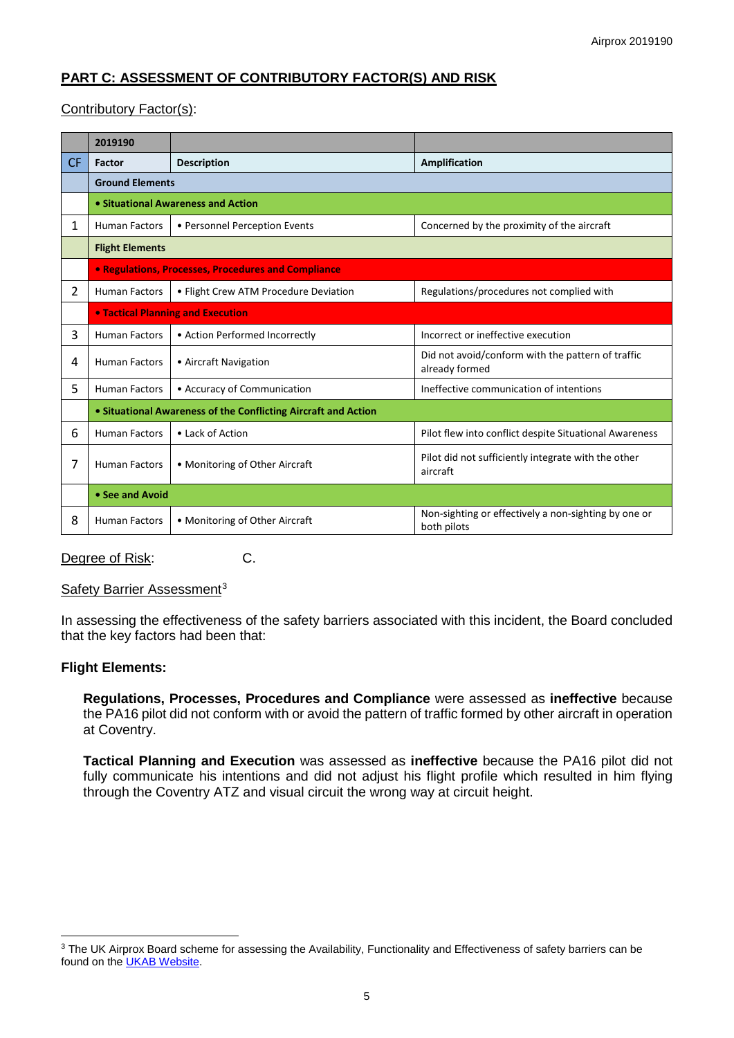# **PART C: ASSESSMENT OF CONTRIBUTORY FACTOR(S) AND RISK**

# Contributory Factor(s):

|                | 2019190                                                        |                                       |                                                                     |  |  |
|----------------|----------------------------------------------------------------|---------------------------------------|---------------------------------------------------------------------|--|--|
| <b>CF</b>      | Factor                                                         | <b>Description</b>                    | Amplification                                                       |  |  |
|                | <b>Ground Elements</b>                                         |                                       |                                                                     |  |  |
|                | • Situational Awareness and Action                             |                                       |                                                                     |  |  |
| 1              | <b>Human Factors</b>                                           | • Personnel Perception Events         | Concerned by the proximity of the aircraft                          |  |  |
|                | <b>Flight Elements</b>                                         |                                       |                                                                     |  |  |
|                | • Regulations, Processes, Procedures and Compliance            |                                       |                                                                     |  |  |
| $\overline{2}$ | <b>Human Factors</b>                                           | • Flight Crew ATM Procedure Deviation | Regulations/procedures not complied with                            |  |  |
|                | <b>• Tactical Planning and Execution</b>                       |                                       |                                                                     |  |  |
| 3              | <b>Human Factors</b>                                           | • Action Performed Incorrectly        | Incorrect or ineffective execution                                  |  |  |
| 4              | <b>Human Factors</b>                                           | • Aircraft Navigation                 | Did not avoid/conform with the pattern of traffic<br>already formed |  |  |
| 5              | <b>Human Factors</b>                                           | • Accuracy of Communication           | Ineffective communication of intentions                             |  |  |
|                | • Situational Awareness of the Conflicting Aircraft and Action |                                       |                                                                     |  |  |
| 6              | <b>Human Factors</b>                                           | • Lack of Action                      | Pilot flew into conflict despite Situational Awareness              |  |  |
| 7              | <b>Human Factors</b>                                           | • Monitoring of Other Aircraft        | Pilot did not sufficiently integrate with the other<br>aircraft     |  |  |
|                | • See and Avoid                                                |                                       |                                                                     |  |  |
| 8              | <b>Human Factors</b>                                           | • Monitoring of Other Aircraft        | Non-sighting or effectively a non-sighting by one or<br>both pilots |  |  |

Degree of Risk: C.

#### Safety Barrier Assessment<sup>[3](#page-4-0)</sup>

In assessing the effectiveness of the safety barriers associated with this incident, the Board concluded that the key factors had been that:

# **Flight Elements:**

 $\overline{\phantom{a}}$ 

**Regulations, Processes, Procedures and Compliance** were assessed as **ineffective** because the PA16 pilot did not conform with or avoid the pattern of traffic formed by other aircraft in operation at Coventry.

**Tactical Planning and Execution** was assessed as **ineffective** because the PA16 pilot did not fully communicate his intentions and did not adjust his flight profile which resulted in him flying through the Coventry ATZ and visual circuit the wrong way at circuit height.

<span id="page-4-0"></span><sup>&</sup>lt;sup>3</sup> The UK Airprox Board scheme for assessing the Availability, Functionality and Effectiveness of safety barriers can be found on the **UKAB Website**.